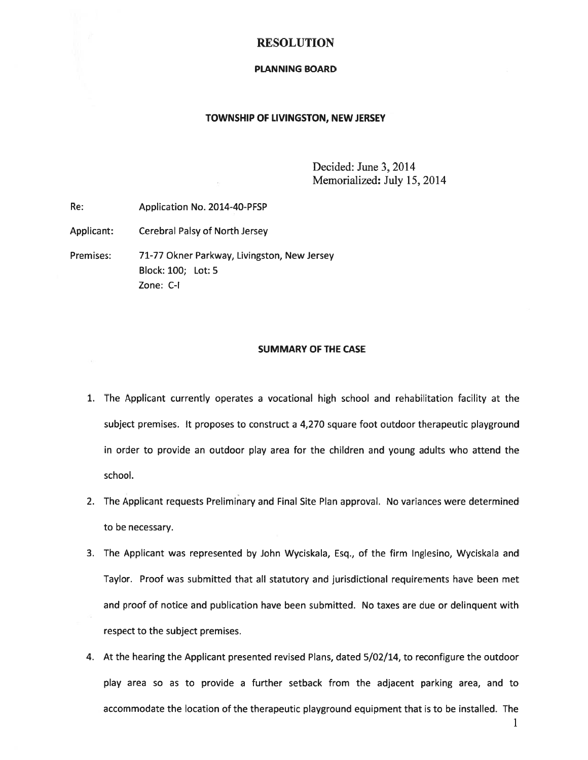#### RESOLUTION

#### PLANNING BOARD

#### TOWNSHIP OF LIVINGSTON, NEW JERSEY

Decided: June 3, 2014 Memorialized: July 15, 2014

Re: Application No. 2014-40-PFSP

Applicant: Cerebral Palsy of North Jersey

Premises: 71-77 Okner Parkway, Livingston, New Jersey Block: 100; Lot: 5 Zone: C-I

#### SUMMARY OF THE CASE

- 1. The Applicant currently operates <sup>a</sup> vocational high school and rehabilitation facility at the subject premises. It proposes to construct <sup>a</sup> 4,270 square foot outdoor therapeutic playground in order to provide an outdoor play area for the children and young adults who attend the school.
- 2. The Applicant requests Preliminary and Final Site Plan approval. No variances were determined to be necessary.
- 3. The Applicant was represented by John Wyciskala, Esq., of the firm Inglesino, Wyciskala and Taylor. Proof was submitted that all statutory and jurisdictional requirements have been met and proof of notice and publication have been submitted. No taxes are due or delinquent with respec<sup>t</sup> to the subject premises.
- 4. At the hearing the Applicant presented revised Plans, dated 5/02/14, to reconfigure the outdoor play area so as to provide <sup>a</sup> further setback from the adjacent parking area, and to accommodate the location of the therapeutic playground equipment that is to be installed. The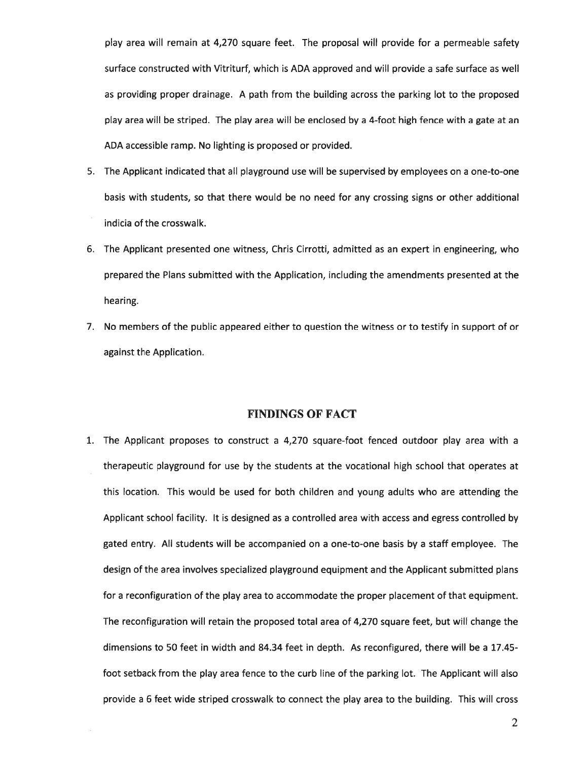play area will remain at 4,270 square feet. The proposal will provide for <sup>a</sup> permeable safety surface constructed with Vitriturf, which is ADA approved and will provide <sup>a</sup> safe surface as well as providing proper drainage. A path from the building across the parking lot to the proposed play area will be striped. The play area will be enclosed by <sup>a</sup> 4-foot high fence with <sup>a</sup> gate at an ADA accessible ramp. No lighting is proposed or provided.

- 5. The Applicant indicated that all playground use will be supervised by employees on <sup>a</sup> one-to-one basis with students, so that there would be no need for any crossing signs or other additional indicia of the crosswalk.
- 6. The Applicant presented one witness, Chris Cirrotti, admitted as an exper<sup>t</sup> in engineering, who prepared the Plans submitted with the Application, including the amendments presented at the hearing.
- 7. No members of the public appeared either to question the witness or to testify in suppor<sup>t</sup> of or against the Application.

#### FINDINGS OF FACT

1. The Applicant proposes to construct <sup>a</sup> 4,270 square-foot fenced outdoor play area with <sup>a</sup> therapeutic playground for use by the students at the vocational high school that operates at this location. This would be used for both children and young adults who are attending the Applicant school facility. It is designed as <sup>a</sup> controlled area with access and egress controlled by gated entry. All students will be accompanied on <sup>a</sup> one-to-one basis by <sup>a</sup> staff employee. The design of the area involves specialized playground equipment and the Applicant submitted plans for <sup>a</sup> reconfiguration of the play area to accommodate the proper placement of that equipment. The reconfiguration will retain the proposed total area of 4,270 square feet, but will change the dimensions to 50 feet in width and 84.34 feet in depth. As reconfigured, there will be <sup>a</sup> 17.45 foot setback from the play area fence to the curb line of the parking lot. The Applicant will also provide <sup>a</sup> 6 feet wide striped crosswalk to connect the play area to the building. This will cross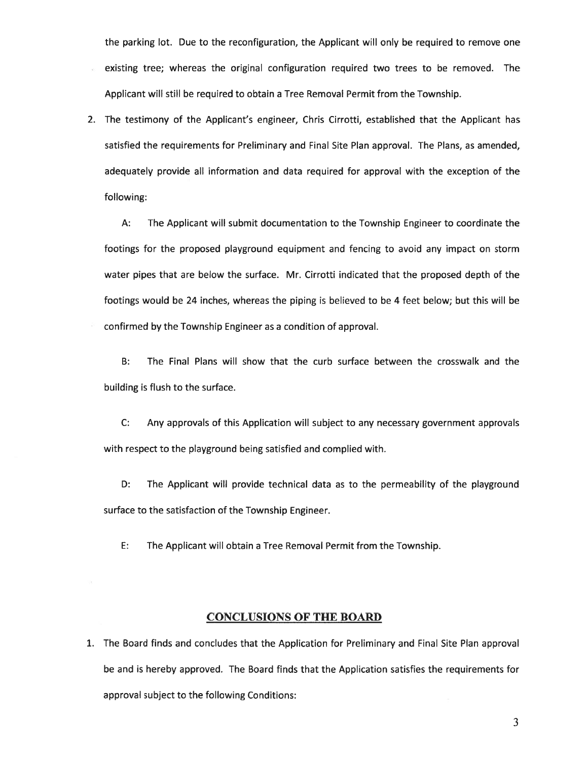the parking lot. Due to the reconfiguration, the Applicant will only be required to remove one existing tree; whereas the original configuration required two trees to be removed. The Applicant will still be required to obtain <sup>a</sup> Tree Removal Permit from the Township.

2. The testimony of the Applicant's engineer, Chris Cirrotti, established that the Applicant has satisfied the requirements for Preliminary and Final Site Plan approval. The Plans, as amended, adequately provide all information and data required for approval with the exception of the following:

A: The Applicant will submit documentation to the Township Engineer to coordinate the footings for the proposed playground equipment and fencing to avoid any impact on storm water pipes that are below the surface. Mr. Cirrotti indicated that the proposed depth of the footings would be 24 inches, whereas the piping is believed to be 4 feet below; but this will be confirmed by the Township Engineer as <sup>a</sup> condition of approval.

B: The Final Plans will show that the curb surface between the crosswalk and the building is flush to the surface.

C: Any approvals of this Application will subject to any necessary governmen<sup>t</sup> approvals with respec<sup>t</sup> to the playground being satisfied and complied with.

D: The Applicant will provide technical data as to the permeability of the playground surface to the satisfaction of the Township Engineer.

E: The Applicant will obtain <sup>a</sup> Tree Removal Permit from the Township.

#### CONCLUSIONS OF THE BOARD

1. The Board finds and concludes that the Application for Preliminary and Final Site Plan approval be and is hereby approved. The Board finds that the Application satisfies the requirements for approval subject to the following Conditions:

3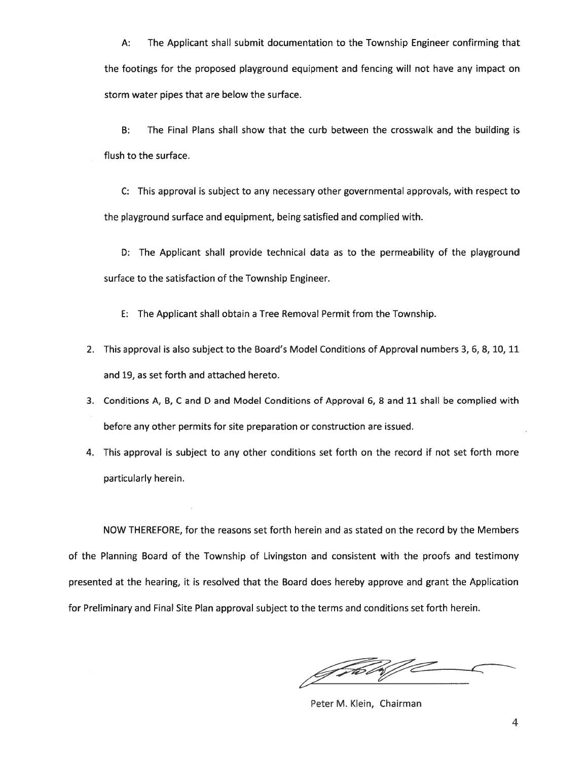A: The Applicant shall submit documentation to the Township Engineer confirming that the footings for the proposed playground equipment and fencing will not have any impact on storm water pipes that are below the surface.

B: The Final Plans shall show that the curb between the crosswalk and the building is flush to the surface.

C: This approval is subject to any necessary other governmental approvals, with respec<sup>t</sup> to the playground surface and equipment, being satisfied and complied with.

D: The Applicant shall provide technical data as to the permeability of the playground surface to the satisfaction of the Township Engineer.

E: The Applicant shall obtain <sup>a</sup> Tree Removal Permit from the Township.

- 2. This approval is also subject to the Board's Model Conditions of Approval numbers 3, 6, 8, 10, 11 and 19, as set forth and attached hereto.
- 3. Conditions A, B, C and D and Model Conditions of Approval 6, 8 and 11 shall be complied with before any other permits for site preparation or construction are issued.
- 4. This approval is subject to any other conditions set forth on the record if not set forth more particularly herein.

NOW THEREFORE, for the reasons set forth herein and as stated on the record by the Members of the Planning Board of the Township of Livingston and consistent with the proofs and testimony presented at the hearing, it is resolved that the Board does hereby approve and gran<sup>t</sup> the Application for Preliminary and Final Site Plan approval subject to the terms and conditions set forth herein.

f FEW

Peter M. Klein, Chairman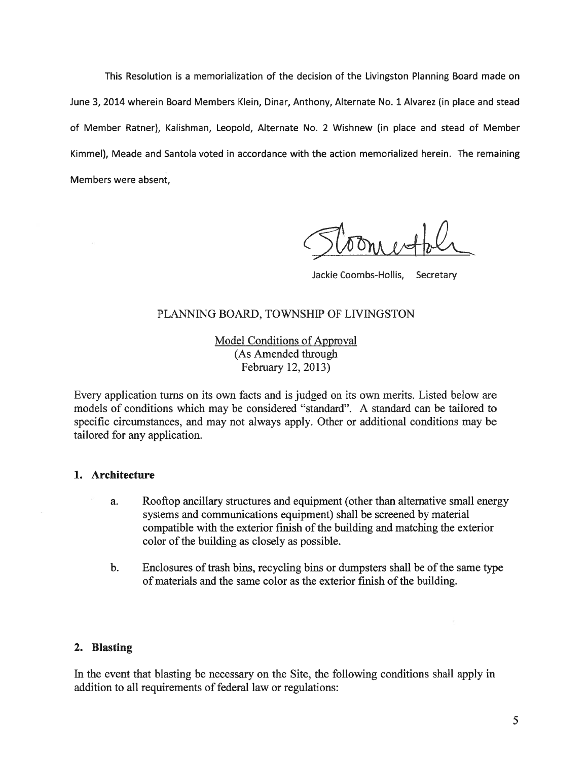This Resolution is <sup>a</sup> memorialization of the decision of the Livingston Planning Board made on June 3, 2014 wherein Board Members Klein, Dinar, Anthony, Alternate No. 1 Alvarez (in place and stead of Member Ratner), Kalishman, Leopold, Alternate No. 2 Wishnew (in place and stead of Member Kimmel), Meade and Santola voted in accordance with the action memorialized herein. The remaining Members were absent,

Jackie Coombs-Hollis, Secretary

## PLANNING BOARD, TOWNSHIP OF LIVINGSTON

Model Conditions of Approval (As Amended through February 12, 2013)

Every application turns on its own facts and is judged on its own merits. Listed below are models of conditions which may be considered "standard". A standard can be tailored to specific circumstances, and may not always apply. Other or additional conditions may be tailored for any application.

### 1. Architecture

- a. Rooftop ancillary structures and equipment (other than alternative small energy systems and communications equipment) shall be screened by material compatible with the exterior finish of the building and matching the exterior color of the building as closely as possible.
- b. Enclosures oftrash bins, recycling bins or dumpsters shall be of the same type of materials and the same color as the exterior finish of the building.

### 2. Blasting

In the event that blasting be necessary on the Site, the following conditions shall apply in addition to all requirements of federal law or regulations: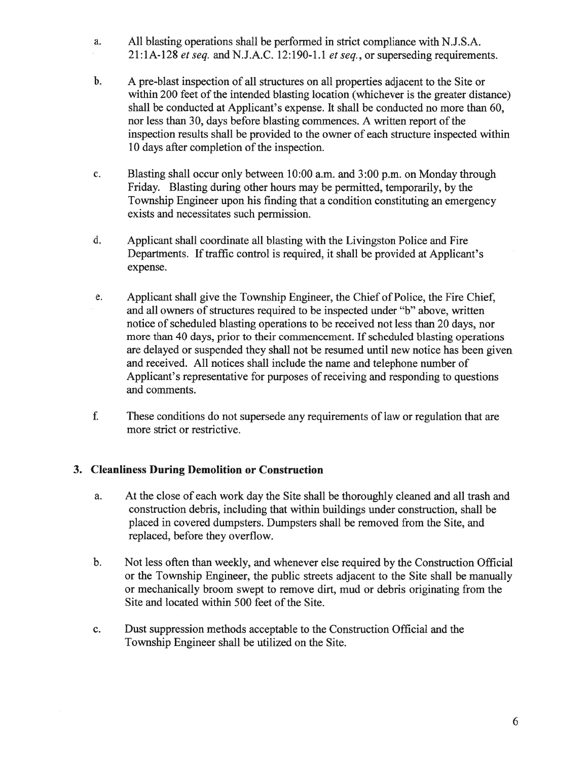- a. All blasting operations shall be performed in strict compliance with N.J.S.A. 21:1A-128 et seq. and N.J.A.C. 12:190-1.1 et seq., or superseding requirements.
- b. A pre-blast inspection of all structures on all properties adjacent to the Site or within 200 feet of the intended blasting location (whichever is the greater distance) shall be conducted at Applicant's expense. It shall be conducted no more than 60, nor less than 30, days before blasting commences. A written report of the inspection results shall be provided to the owner of each structure inspected within 10 days after completion of the inspection.
- c. Blasting shall occur only between 10:00 a.m. and 3:00 p.m. on Monday through Friday. Blasting during other hours may be permitted, temporarily, by the Township Engineer upon his finding that <sup>a</sup> condition constituting an emergency exists and necessitates such permission.
- d. Applicant shall coordinate all blasting with the Livingston Police and Fire Departments. If traffic control is required, it shall be provided at Applicant's expense.
- e. Applicant shall give the Township Engineer, the Chief of Police, the Fire Chief, and all owners of structures required to be inspected under "b" above, written notice of scheduled blasting operations to be received not less than 20 days, nor more than 40 days, prior to their commencement. If scheduled blasting operations are delayed or suspended they shall not be resumed until new notice has been given and received. All notices shall include the name and telephone number of Applicant's representative for purposes of receiving and responding to questions and comments.
- f. These conditions do not supersede any requirements of law or regulation that are more strict or restrictive.

## 3. Cleanliness During Demolition or Construction

- a. At the close of each work day the Site shall be thoroughly cleaned and all trash and construction debris, including that within buildings under construction, shall be placed in covered dumpsters. Dumpsters shall be removed from the Site, and replaced, before they overflow.
- b. Not less often than weekly, and whenever else required by the Construction Official or the Township Engineer, the public streets adjacent to the Site shall be manually or mechanically broom swep<sup>t</sup> to remove dirt, mud or debris originating from the Site and located within 500 feet of the Site.
- c. Dust suppression methods acceptable to the Construction Official and the Township Engineer shall be utilized on the Site.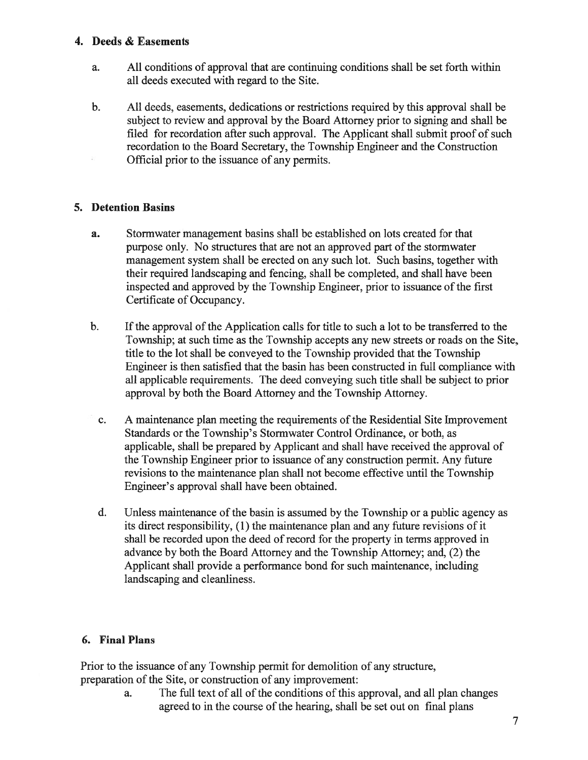## 4. Deeds & Easements

- a. All conditions of approval that are continuing conditions shall be set forth within all deeds executed with regard to the Site.
- b. All deeds, easements, dedications or restrictions required by this approval shall be subject to review and approval by the Board Attorney prior to signing and shall be filed for recordation after such approval. The Applicant shall submit proof of such recordation to the Board Secretary, the Township Engineer and the Construction Official prior to the issuance of any permits.

# 5. Detention Basins

- a. Stormwater managemen<sup>t</sup> basins shall be established on lots created for that purpose only. No structures that are not an approved part of the stormwater managemen<sup>t</sup> system shall be erected on any such lot. Such basins, together with their required landscaping and fencing, shall be completed, and shall have been inspected and approved by the Township Engineer, prior to issuance ofthe first Certificate of Occupancy.
- b. If the approval of the Application calls for title to such a lot to be transferred to the Township; at such time as the Township accepts any new streets or roads on the Site, title to the lot shall be conveyed to the Township provided that the Township Engineer is then satisfied that the basin has been constructed in full compliance with all applicable requirements. The deed conveying such title shall be subject to prior approval by both the Board Attorney and the Township Attorney.
- c. A maintenance plan meeting the requirements of the Residential Site Improvement Standards or the Township's Stormwater Control Ordinance, or both, as applicable, shall be prepared by Applicant and shall have received the approval of the Township Engineer prior to issuance of any construction permit. Any future revisions to the maintenance plan shall not become effective until the Township Engineer's approval shall have been obtained.
- d. Unless maintenance of the basin is assumed by the Township or <sup>a</sup> public agency as its direct responsibility, (1) the maintenance plan and any future revisions of it shall be recorded upon the deed of record for the property in terms approved in advance by both the Board Attorney and the Township Attorney; and, (2) the Applicant shall provide <sup>a</sup> performance bond for such maintenance, including landscaping and cleanliness.

# 6. Final Plans

Prior to the issuance of any Township permit for demolition of any structure, preparation of the Site, or construction of any improvement:

> a. The full text of all of the conditions of this approval, and all plan changes agreed to in the course of the hearing, shall be set out on final plans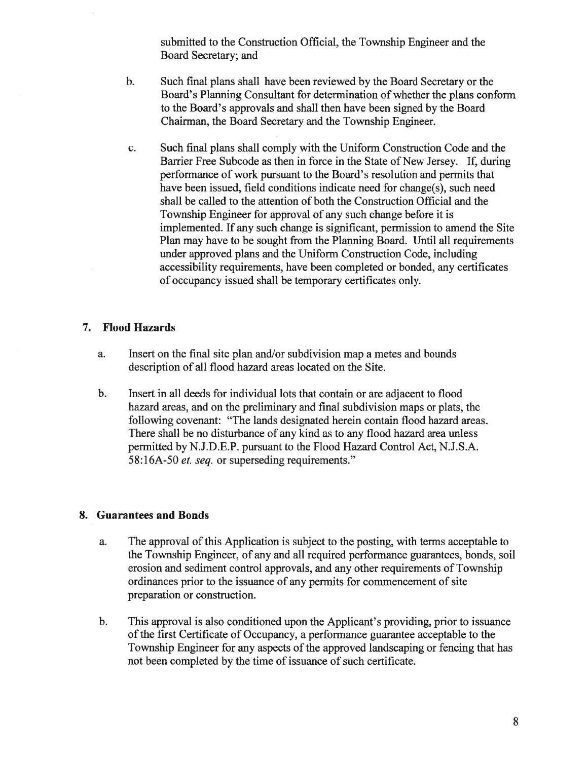submitted to the Construction Official, the Township Engineer and the Board Secretary; and

- b. Such final plans shall have been reviewed by the Board Secretary or the Board's Planning Consultant for determination of whether the plans conform to the Board's approvals and shall then have been signed by the Board Chairman, the Board Secretary and the Township Engineer.
- c. Such final plans shall comply with the Uniform Construction Code and the Barrier Free Subcode as then in force in the State of New Jersey. If, during performance of work pursuan<sup>t</sup> to the Board's resolution and permits that have been issued, field conditions indicate need for change(s), such need shall be called to the attention of both the Construction Official and the Township Engineer for approval of any such change before it is implemented. If any such change is significant, permission to amend the Site Plan may have to be sought from the Planning Board. Until all requirements under approved plans and the Uniform Construction Code, including accessibility requirements, have been completed or bonded, any certificates of occupancy issued shall be temporary certificates only.

## 7. Flood Hazards

- a. Insert on the final site plan and/or subdivision map <sup>a</sup> metes and bounds description of all flood hazard areas located on the Site.
- b. Insert in all deeds for individual lots that contain or are adjacent to flood hazard areas, and on the preliminary and final subdivision maps or plats, the following covenant: "The lands designated herein contain flood hazard areas. There shall be no disturbance of any kind as to any flood hazard area unless permitted by N.J.D.E.P. pursuan<sup>t</sup> to the Flood Hazard Control Act, N.J.S.A. 58:16A-50 et. seq. or superseding requirements."

## 8. Guarantees and Bonds

- a. The approval of this Application is subject to the posting, with terms acceptable to the Township Engineer, of any and all required performance guarantees, bonds, soil erosion and sediment control approvals, and any other requirements of Township ordinances prior to the issuance of any permits for commencement of site preparation or construction.
- b. This approval is also conditioned upon the Applicant's providing, prior to issuance of the first Certificate of Occupancy, a performance guarantee acceptable to the Township Engineer for any aspects of the approved landscaping or fencing that has not been completed by the time of issuance of such certificate.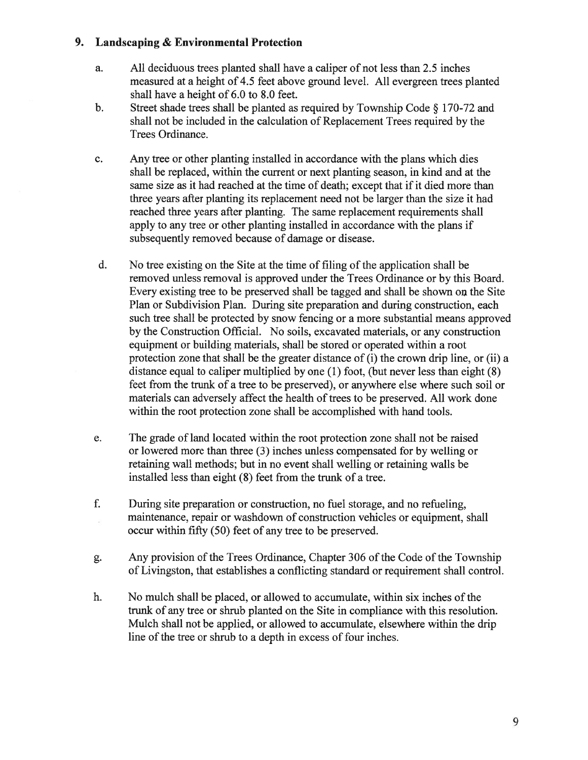## 9. Landscaping & Environmental Protection

- a. All deciduous trees planted shall have <sup>a</sup> caliper of not less than 2.5 inches measured at <sup>a</sup> height of 4.5 feet above ground level. All evergreen trees planted shall have <sup>a</sup> height of 6.0 to 8.0 feet.
- b. Street shade trees shall be <sup>p</sup>lanted as required by Township Code § 170-72 and shall not be included in the calculation of Replacement Trees required by the Trees Ordinance.
- c. Any tree or other planting installed in accordance with the plans which dies shall be replaced, within the current or next planting season, in kind and at the same size as it had reached at the time of death; excep<sup>t</sup> that if it died more than three years after planting its replacement need not be larger than the size it had reached three years after planting. The same replacement requirements shall apply to any tree or other planting installed in accordance with the plans if subsequently removed because of damage or disease.
- d. No tree existing on the Site at the time of filing of the application shall be removed unless removal is approved under the Trees Ordinance or by this Board. Every existing tree to be preserved shall be tagged and shall be shown on the Site Plan or Subdivision Plan. During site preparation and during construction, each such tree shall be protected by snow fencing or <sup>a</sup> more substantial means approved by the Construction Official. No soils, excavated materials, or any construction equipment or building materials, shall be stored or operated within <sup>a</sup> root protection zone that shall be the greater distance of (i) the crown drip line, or (ii) <sup>a</sup> distance equal to caliper multiplied by one (1) foot, (but never less than eight (8) feet from the trunk of <sup>a</sup> tree to be preserved), or anywhere else where such soil or materials can adversely affect the health of trees to be preserved. All work done within the root protection zone shall be accomplished with hand tools.
- e. The grade of land located within the root protection zone shall not be raised or lowered more than three (3) inches unless compensated for by welling or retaining wall methods; but in no event shall welling or retaining walls be installed less than eight (8) feet from the trunk of <sup>a</sup> tree.
- f. During site preparation or construction, no fuel storage, and no refueling, maintenance, repair or washdown of construction vehicles or equipment, shall occur within fifty (50) feet of any tree to be preserved.
- g. Any provision of the Trees Ordinance, Chapter 306 of the Code of the Township of Livingston, that establishes <sup>a</sup> conflicting standard or requirement shall control.
- h. No mulch shall be placed, or allowed to accumulate, within six inches of the trunk of any tree or shrub planted on the Site in compliance with this resolution. Mulch shall not be applied, or allowed to accumulate, elsewhere within the drip line of the tree or shrub to <sup>a</sup> depth in excess of four inches.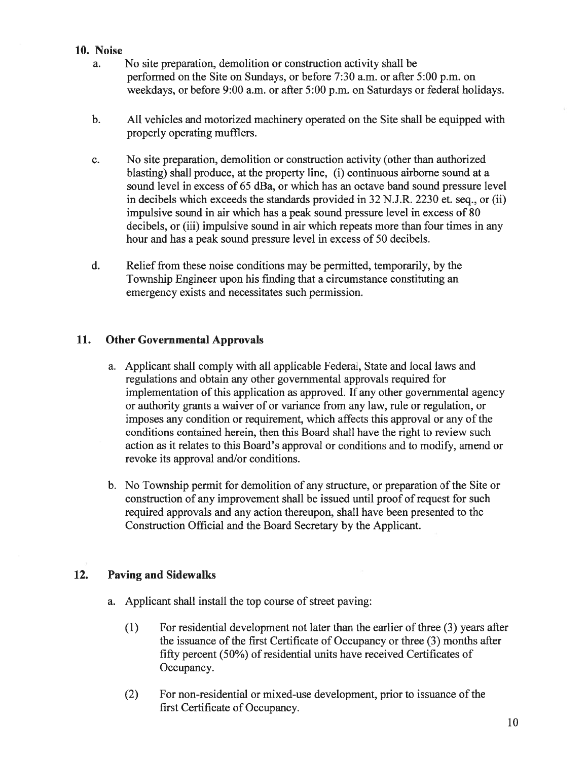## 10. Noise

- a. No site preparation, demolition or construction activity shall be performed on the Site on Sundays, or before 7:30 a.m. or after 5:00 p.m. on weekdays, or before 9:00 a.m. or after 5:00 p.m. on Saturdays or federal holidays.
- b. All vehicles and motorized machinery operated on the Site shall be equipped with properly operating mufflers.
- c. No site preparation, demolition or construction activity (other than authorized blasting) shall produce, at the property line, (i) continuous airborne sound at <sup>a</sup> sound level in excess of 65 dBa, or which has an octave band sound pressure level in decibels which exceeds the standards provided in 32 N.J.R. 2230 et. seq., or (ii) impulsive sound in air which has <sup>a</sup> peak sound pressure level in excess of 80 decibels, or (iii) impulsive sound in air which repeats more than four times in any hour and has <sup>a</sup> peak sound pressure level in excess of 50 decibels.
- d. Relief from these noise conditions may be permitted, temporarily, by the Township Engineer upon his finding that <sup>a</sup> circumstance constituting an emergency exists and necessitates such permission.

## 11. Other Governmental Approvals

- a. Applicant shall comply with all applicable Federal, State and local laws and regulations and obtain any other governmental approvals required for implementation of this application as approved. If any other governmental agency or authority grants <sup>a</sup> waiver of or variance from any law, rule or regulation, or imposes any condition or requirement, which affects this approval or any of the conditions contained herein, then this Board shall have the right to review such action as it relates to this Board's approval or conditions and to modify, amend or revoke its approval and/or conditions.
- b. No Township permit for demolition of any structure, or preparation of the Site or construction of any improvement shall be issued until proof of request for such required approvals and any action thereupon, shall have been presented to the Construction Official and the Board Secretary by the Applicant.

## 12. Paving and Sidewalks

- a. Applicant shall install the top course of street paving:
	- $(1)$  For residential development not later than the earlier of three  $(3)$  years after the issuance of the first Certificate of Occupancy or three (3) months after fifty percen<sup>t</sup> (50%) of residential units have received Certificates of Occupancy.
	- (2) For non-residential or mixed-use development, prior to issuance of the first Certificate of Occupancy.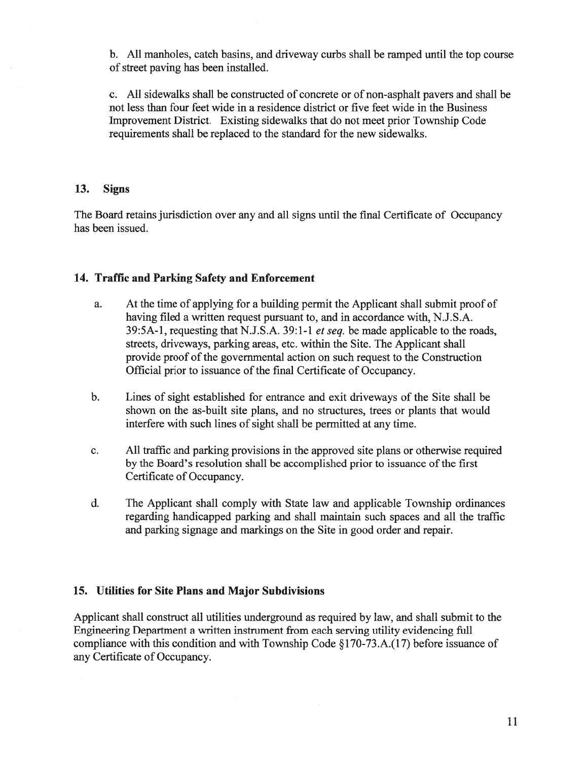b. All manholes, catch basins, and driveway curbs shall be ramped until the top course of street paving has been installed.

c. All sidewalks shall be constructed of concrete or of non-asphalt payers and shall be not less than four feet wide in <sup>a</sup> residence district or five feet wide in the Business Improvement District. Existing sidewalks that do not meet prior Township Code requirements shall be replaced to the standard for the new sidewalks.

#### 13. Signs

The Board retains jurisdiction over any and all signs until the final Certificate of Occupancy has been issued.

## 14. Traffic and Parking Safety and Enforcement

- a. At the time of applying for <sup>a</sup> building permit the Applicant shall submit proof of having filed <sup>a</sup> written reques<sup>t</sup> pursuan<sup>t</sup> to, and in accordance with, N.J.S.A. 39:5A-l, requesting that N.J.S.A. 39:1-1 et seq. be made applicable to the roads, streets, driveways, parking areas, etc. within the Site. The Applicant shall provide proof of the governmental action on such request to the Construction Official prior to issuance of the final Certificate of Occupancy.
- b. Lines of sight established for entrance and exit driveways of the Site shall be shown on the as-built site plans, and no structures, trees or plants that would interfere with such lines of sight shall be permitted at any time.
- c. All traffic and parking provisions in the approved site plans or otherwise required by the Board's resolution shall be accomplished prior to issuance of the first Certificate of Occupancy.
- d. The Applicant shall comply with State law and applicable Township ordinances regarding handicapped parking and shall maintain such spaces and all the traffic and parking signage and markings on the Site in good order and repair.

### 15. Utilities for Site Plans and Major Subdivisions

Applicant shall construct all utilities underground as required by law, and shall submit to the Engineering Department <sup>a</sup> written instrument from each serving utility evidencing full compliance with this condition and with Township Code §170-73.A.(17) before issuance of any Certificate of Occupancy.